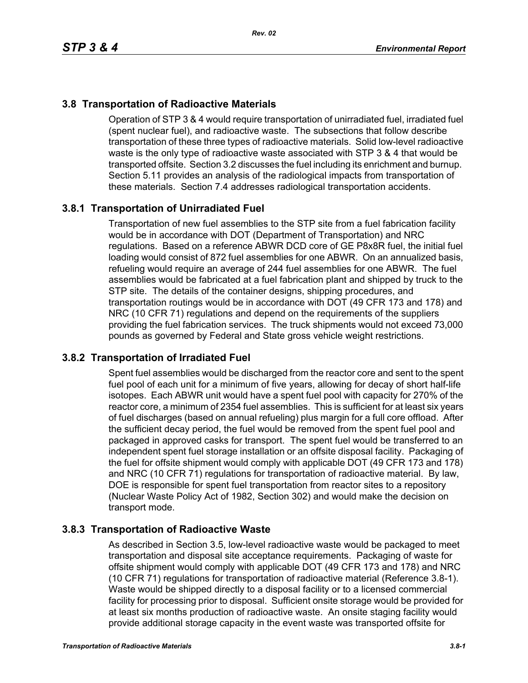# **3.8 Transportation of Radioactive Materials**

Operation of STP 3 & 4 would require transportation of unirradiated fuel, irradiated fuel (spent nuclear fuel), and radioactive waste. The subsections that follow describe transportation of these three types of radioactive materials. Solid low-level radioactive waste is the only type of radioactive waste associated with STP 3 & 4 that would be transported offsite. Section 3.2 discusses the fuel including its enrichment and burnup. Section 5.11 provides an analysis of the radiological impacts from transportation of these materials. Section 7.4 addresses radiological transportation accidents.

# **3.8.1 Transportation of Unirradiated Fuel**

Transportation of new fuel assemblies to the STP site from a fuel fabrication facility would be in accordance with DOT (Department of Transportation) and NRC regulations. Based on a reference ABWR DCD core of GE P8x8R fuel, the initial fuel loading would consist of 872 fuel assemblies for one ABWR. On an annualized basis, refueling would require an average of 244 fuel assemblies for one ABWR. The fuel assemblies would be fabricated at a fuel fabrication plant and shipped by truck to the STP site. The details of the container designs, shipping procedures, and transportation routings would be in accordance with DOT (49 CFR 173 and 178) and NRC (10 CFR 71) regulations and depend on the requirements of the suppliers providing the fuel fabrication services. The truck shipments would not exceed 73,000 pounds as governed by Federal and State gross vehicle weight restrictions.

# **3.8.2 Transportation of Irradiated Fuel**

Spent fuel assemblies would be discharged from the reactor core and sent to the spent fuel pool of each unit for a minimum of five years, allowing for decay of short half-life isotopes. Each ABWR unit would have a spent fuel pool with capacity for 270% of the reactor core, a minimum of 2354 fuel assemblies. This is sufficient for at least six years of fuel discharges (based on annual refueling) plus margin for a full core offload. After the sufficient decay period, the fuel would be removed from the spent fuel pool and packaged in approved casks for transport. The spent fuel would be transferred to an independent spent fuel storage installation or an offsite disposal facility. Packaging of the fuel for offsite shipment would comply with applicable DOT (49 CFR 173 and 178) and NRC (10 CFR 71) regulations for transportation of radioactive material. By law, DOE is responsible for spent fuel transportation from reactor sites to a repository (Nuclear Waste Policy Act of 1982, Section 302) and would make the decision on transport mode.

# **3.8.3 Transportation of Radioactive Waste**

As described in Section 3.5, low-level radioactive waste would be packaged to meet transportation and disposal site acceptance requirements. Packaging of waste for offsite shipment would comply with applicable DOT (49 CFR 173 and 178) and NRC (10 CFR 71) regulations for transportation of radioactive material (Reference 3.8-1). Waste would be shipped directly to a disposal facility or to a licensed commercial facility for processing prior to disposal. Sufficient onsite storage would be provided for at least six months production of radioactive waste. An onsite staging facility would provide additional storage capacity in the event waste was transported offsite for